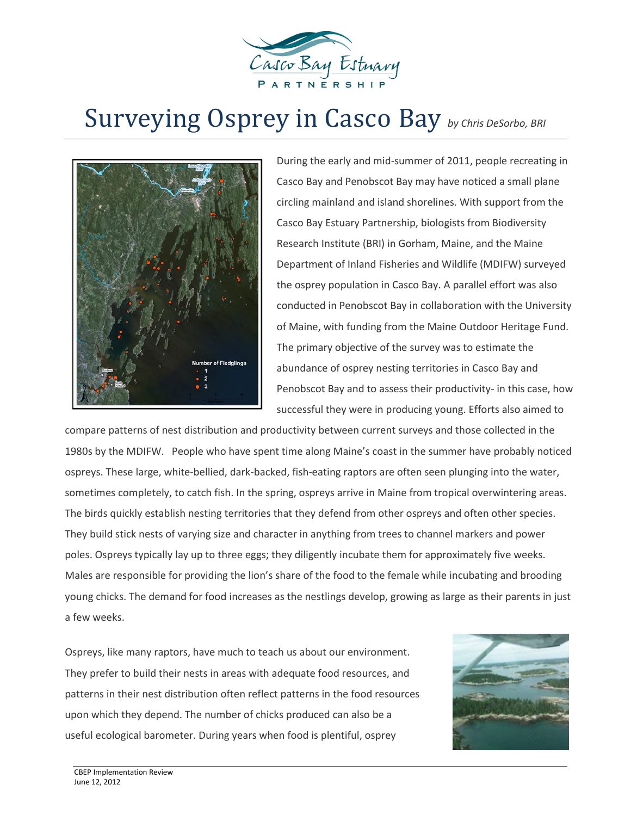

## Surveying Osprey in Casco Bay *by Chris DeSorbo, BRI*



During the early and mid-summer of 2011, people recreating in Casco Bay and Penobscot Bay may have noticed a small plane circling mainland and island shorelines. With support from the Casco Bay Estuary Partnership, biologists from Biodiversity Research Institute (BRI) in Gorham, Maine, and the Maine Department of Inland Fisheries and Wildlife (MDIFW) surveyed the osprey population in Casco Bay. A parallel effort was also conducted in Penobscot Bay in collaboration with the University of Maine, with funding from the Maine Outdoor Heritage Fund. The primary objective of the survey was to estimate the abundance of osprey nesting territories in Casco Bay and Penobscot Bay and to assess their productivity- in this case, how successful they were in producing young. Efforts also aimed to

compare patterns of nest distribution and productivity between current surveys and those collected in the 1980s by the MDIFW. People who have spent time along Maine's coast in the summer have probably noticed ospreys. These large, white-bellied, dark-backed, fish-eating raptors are often seen plunging into the water, sometimes completely, to catch fish. In the spring, ospreys arrive in Maine from tropical overwintering areas. The birds quickly establish nesting territories that they defend from other ospreys and often other species. They build stick nests of varying size and character in anything from trees to channel markers and power poles. Ospreys typically lay up to three eggs; they diligently incubate them for approximately five weeks. Males are responsible for providing the lion's share of the food to the female while incubating and brooding young chicks. The demand for food increases as the nestlings develop, growing as large as their parents in just a few weeks.

Ospreys, like many raptors, have much to teach us about our environment. They prefer to build their nests in areas with adequate food resources, and patterns in their nest distribution often reflect patterns in the food resources upon which they depend. The number of chicks produced can also be a useful ecological barometer. During years when food is plentiful, osprey